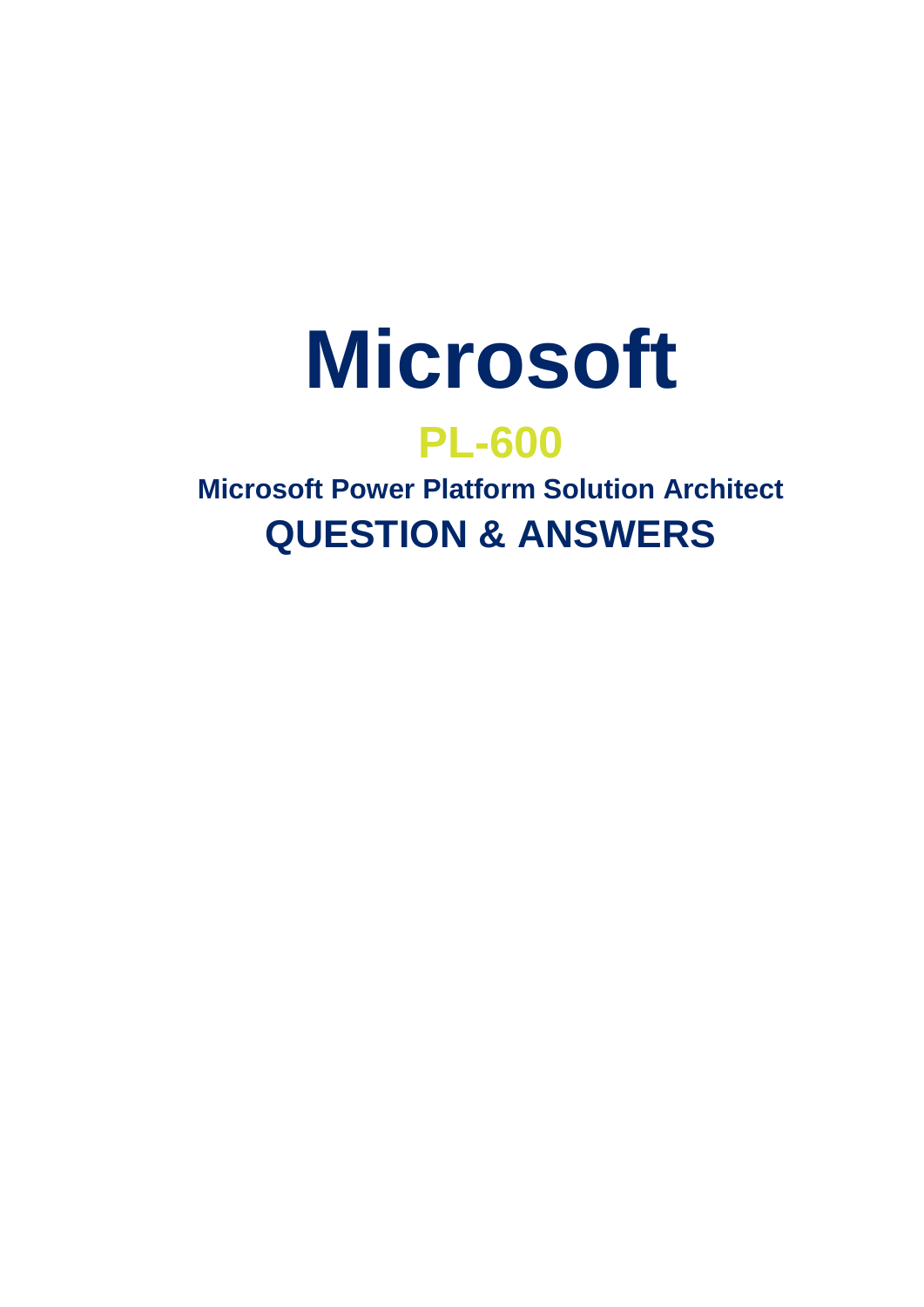

# **PL-600**

**Microsoft Power Platform Solution Architect QUESTION & ANSWERS**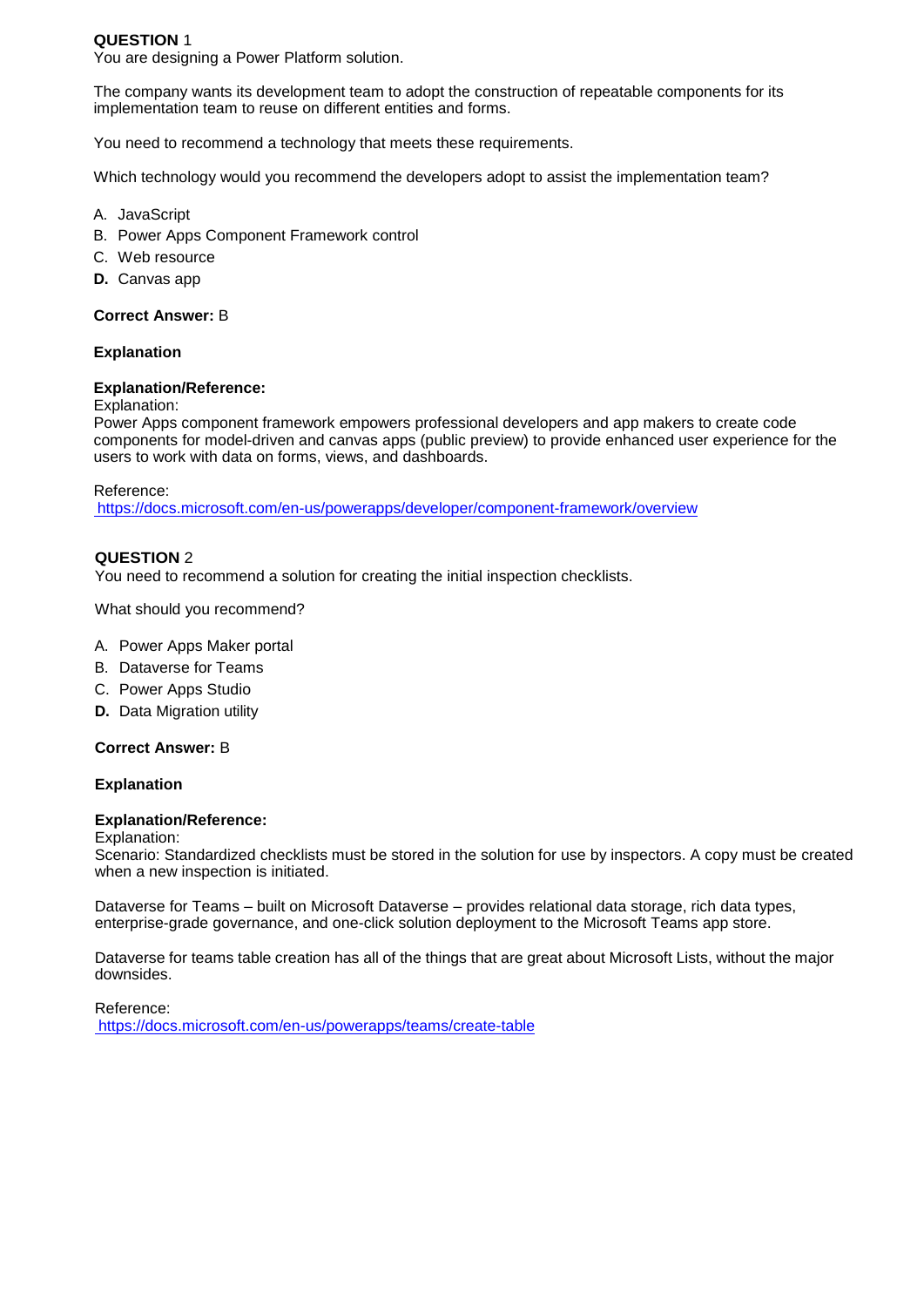## **QUESTION** 1

You are designing a Power Platform solution.

The company wants its development team to adopt the construction of repeatable components for its implementation team to reuse on different entities and forms.

You need to recommend a technology that meets these requirements.

Which technology would you recommend the developers adopt to assist the implementation team?

- A. JavaScript
- B. Power Apps Component Framework control
- C. Web resource
- **D.** Canvas app

# **Correct Answer:** B

## **Explanation**

## **Explanation/Reference:**

Explanation:

Power Apps component framework empowers professional developers and app makers to create code components for model-driven and canvas apps (public preview) to provide enhanced user experience for the users to work with data on forms, views, and dashboards.

Reference:

https://docs.microsoft.com/en-us/powerapps/developer/component-framework/overview

## **QUESTION** 2

You need to recommend a solution for creating the initial inspection checklists.

What should you recommend?

- A. Power Apps Maker portal
- B. Dataverse for Teams
- C. Power Apps Studio
- **D.** Data Migration utility

# **Correct Answer:** B

## **Explanation**

## **Explanation/Reference:**

Explanation:

Scenario: Standardized checklists must be stored in the solution for use by inspectors. A copy must be created when a new inspection is initiated.

Dataverse for Teams – built on Microsoft Dataverse – provides relational data storage, rich data types, enterprise-grade governance, and one-click solution deployment to the Microsoft Teams app store.

Dataverse for teams table creation has all of the things that are great about Microsoft Lists, without the major downsides.

Reference: https://docs.microsoft.com/en-us/powerapps/teams/create-table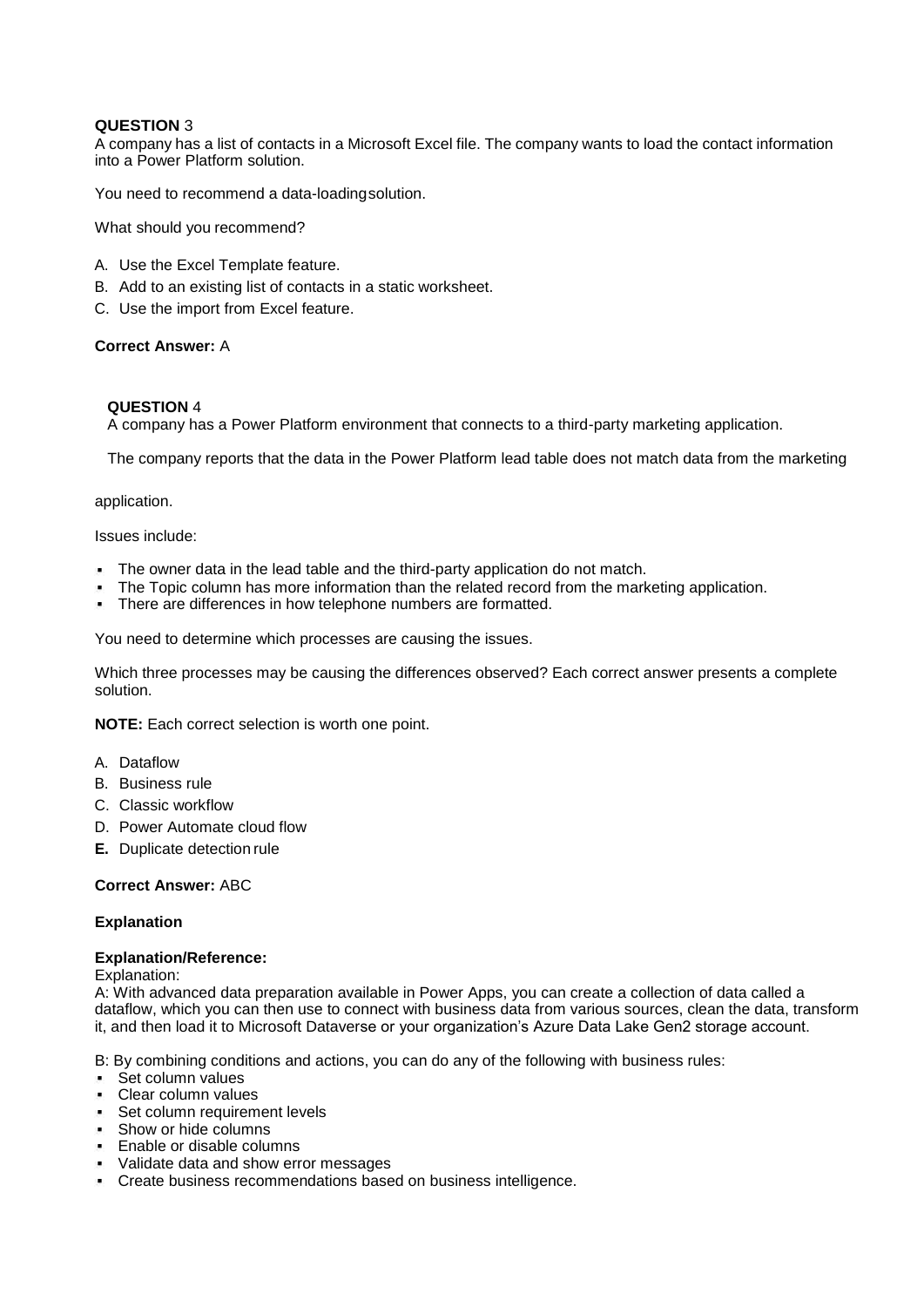## **QUESTION** 3

A company has a list of contacts in a Microsoft Excel file. The company wants to load the contact information into a Power Platform solution.

You need to recommend a data-loadingsolution.

What should you recommend?

- A. Use the Excel Template feature.
- B. Add to an existing list of contacts in a static worksheet.
- C. Use the import from Excel feature.

## **Correct Answer:** A

## **QUESTION** 4

A company has a Power Platform environment that connects to a third-party marketing application.

The company reports that the data in the Power Platform lead table does not match data from the marketing

application.

Issues include:

- The owner data in the lead table and the third-party application do not match.
- The Topic column has more information than the related record from the marketing application.
- **There are differences in how telephone numbers are formatted.**

You need to determine which processes are causing the issues.

Which three processes may be causing the differences observed? Each correct answer presents a complete solution.

**NOTE:** Each correct selection is worth one point.

- A. Dataflow
- B. Business rule
- C. Classic workflow
- D. Power Automate cloud flow
- **E.** Duplicate detection rule

## **Correct Answer:** ABC

## **Explanation**

## **Explanation/Reference:**

#### Explanation:

A: With advanced data preparation available in Power Apps, you can create a collection of data called a dataflow, which you can then use to connect with business data from various sources, clean the data, transform it, and then load it to Microsoft Dataverse or your organization's Azure Data Lake Gen2 storage account.

B: By combining conditions and actions, you can do any of the following with business rules:

- Set column values
- **Clear column values**
- Set column requirement levels
- Show or hide columns
- **Enable or disable columns**
- Validate data and show error messages
- **Create business recommendations based on business intelligence.**